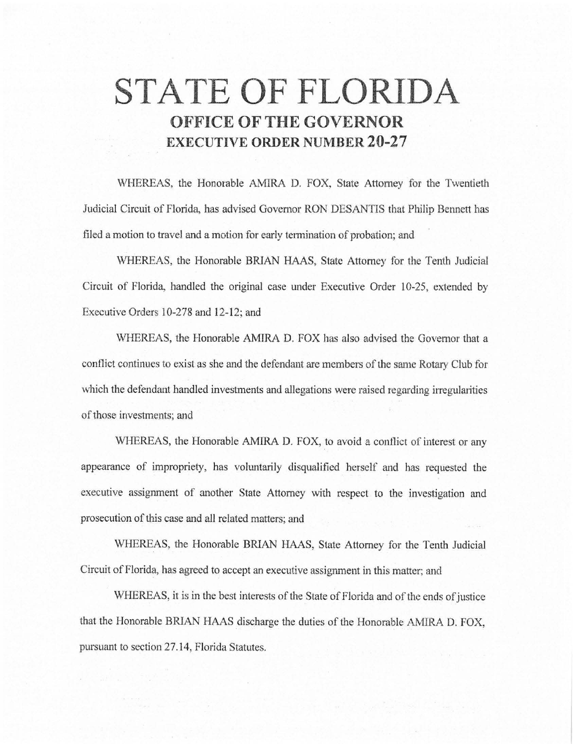# **STATE OF FLORIDA OFFICE OF THE GOVERNOR EXECUTIVE ORDER NUMBER 20-27**

WHEREAS, the Honorable AMIRA D. FOX, State Attorney for the Twentieth Judicial Circuit of Florida, has advised Governor RON DESANTIS that Philip Bennett has filed a motion to travel and a motion for early termination of probation; and

WHEREAS, the Honorable BRIAN HAAS, State Attorney for the Tenth Judicial Circuit of Florida, handled the original case under Executive Order 10-25, extended by Executive Orders 10-278 and 12-12; and

WHEREAS, the Honorable AMIRA D. FOX has also advised the Governor that a conflict continues to exist as she and the defendant are members of the same Rotary Club for which the defendant handled investments and allegations were raised regarding irregularities of those investments; and

WHEREAS, the Honorable AMIRA D. FOX, to avoid a conflict of interest or any appearance of impropriety, has voluntarily disqualified herself and has requested the executive assignment of another State Attorney with respect to the investigation and prosecution of this case and all related matters; and

WHEREAS, the Honorable BRIAN HAAS, State Attorney for the Tenth Judicial Circuit of Florida, has agreed to accept an executive assignment in this matter; and

WHEREAS, it is in the best interests of the State of Florida and of the ends of justice that the Honorable BRIAN HAAS discharge the duties of the Honorable AMIRA D. FOX, pursuant to section 27.14, Florida Statutes.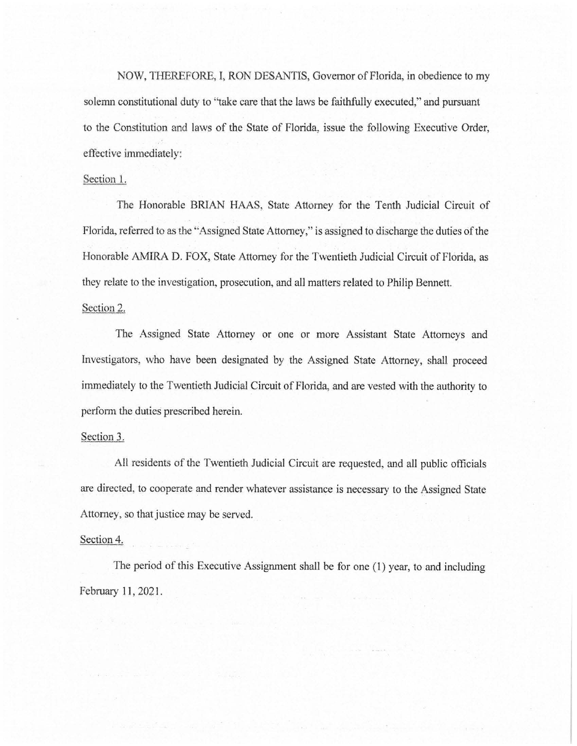NOW, THEREFORE, I, RON DESANTIS, Governor of Florida, in obedience to my solemn constitutional duty to "take care that the laws be faithfully executed," and pursuant to the Constitution and laws of the State of Florida, issue the following Executive Order, effective immediately:

### Section 1.

The Honorable BRIAN HAAS, State Attorney for the Tenth Judicial Circuit of Florida, referred to as the ''Assigned State Attorney," is assigned to discharge the duties of the Honorable M1IRA D. FOX, State Attorney for the Twentieth Judicial Circuit of Florida, as they relate to the investigation, prosecution, and all matters related to Philip Bennett.

Section 2.

The Assigned State Attorney or one or more Assistant State Attorneys and Investigators, who have been designated by the Assigned State Attorney, shall proceed immediately to the Twentieth Judicial Circuit of Florida, and are vested with the authority to perform the duties prescribed herein.

## Section 3.

All residents of the Twentieth Judicial Circuit are requested, and all public officials are directed, to cooperate and render whatever assistance is necessary to the Assigned State Attorney, so that justice may be served.

### Section 4.

The period of this Executive Assignment shall be for one (1) year, to and including February 11, 2021.